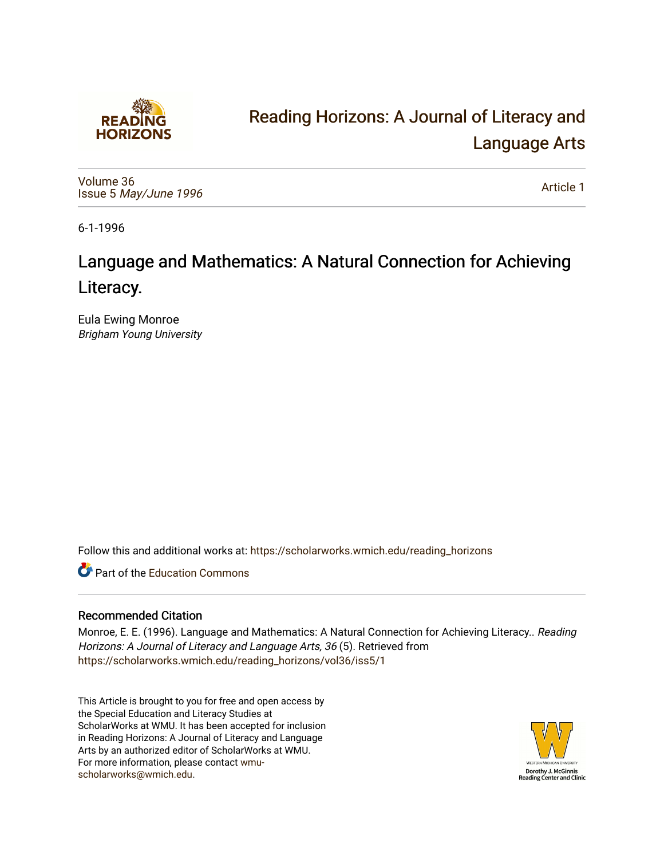

# [Reading Horizons: A Journal of Literacy and](https://scholarworks.wmich.edu/reading_horizons)  [Language Arts](https://scholarworks.wmich.edu/reading_horizons)

[Volume 36](https://scholarworks.wmich.edu/reading_horizons/vol36) Issue 5 [May/June 1996](https://scholarworks.wmich.edu/reading_horizons/vol36/iss5) 

[Article 1](https://scholarworks.wmich.edu/reading_horizons/vol36/iss5/1) 

6-1-1996

# Language and Mathematics: A Natural Connection for Achieving Literacy.

Eula Ewing Monroe Brigham Young University

Follow this and additional works at: [https://scholarworks.wmich.edu/reading\\_horizons](https://scholarworks.wmich.edu/reading_horizons?utm_source=scholarworks.wmich.edu%2Freading_horizons%2Fvol36%2Fiss5%2F1&utm_medium=PDF&utm_campaign=PDFCoverPages)

**C** Part of the [Education Commons](http://network.bepress.com/hgg/discipline/784?utm_source=scholarworks.wmich.edu%2Freading_horizons%2Fvol36%2Fiss5%2F1&utm_medium=PDF&utm_campaign=PDFCoverPages)

#### Recommended Citation

Monroe, E. E. (1996). Language and Mathematics: A Natural Connection for Achieving Literacy.. Reading Horizons: A Journal of Literacy and Language Arts, 36 (5). Retrieved from [https://scholarworks.wmich.edu/reading\\_horizons/vol36/iss5/1](https://scholarworks.wmich.edu/reading_horizons/vol36/iss5/1?utm_source=scholarworks.wmich.edu%2Freading_horizons%2Fvol36%2Fiss5%2F1&utm_medium=PDF&utm_campaign=PDFCoverPages) 

This Article is brought to you for free and open access by the Special Education and Literacy Studies at ScholarWorks at WMU. It has been accepted for inclusion in Reading Horizons: A Journal of Literacy and Language Arts by an authorized editor of ScholarWorks at WMU. For more information, please contact [wmu](mailto:wmu-scholarworks@wmich.edu)[scholarworks@wmich.edu.](mailto:wmu-scholarworks@wmich.edu)

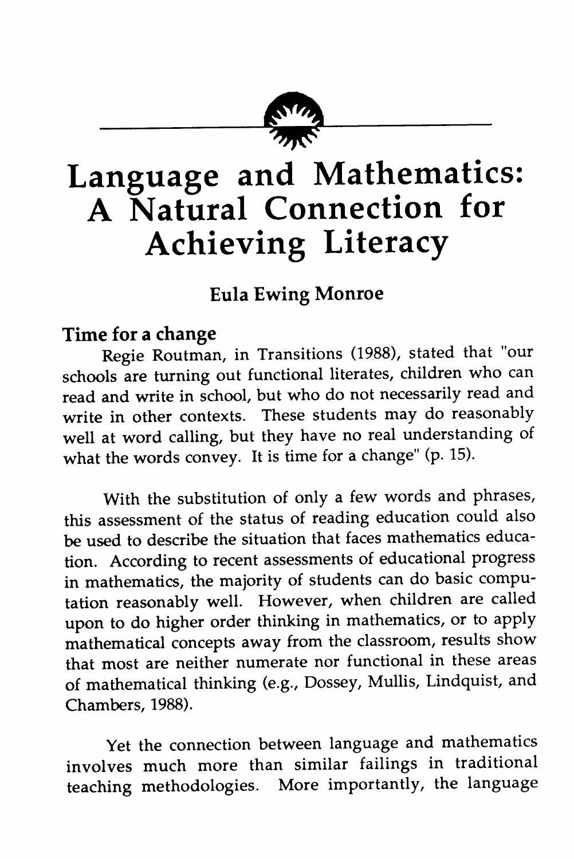

# *Language and Mathematics: A Natural Connection for Achieving Literacy*

## *Eula Ewing Monroe*

## *Time for a change*

Regie Routman, in Transitions (1988), stated that "our schools are turning out functional literates, children who can read and write in school, but who do not necessarily read and write in other contexts. These students may do reasonably well at word calling, but they have no real understanding of what the words convey. It is time for a change" (p. 15).

With the substitution of only a few words and phrases, this assessment of the status of reading education could also be used to describe the situation that faces mathematics educa tion. According to recent assessments of educational progress in mathematics, the majority of students can do basic compu tation reasonably well. However, when children are called upon to do higher order thinking in mathematics, or to apply mathematical concepts away from the classroom, results show that most are neither numerate nor functional in these areas of mathematical thinking (e.g., Dossey, Mullis, Lindquist, and Chambers, 1988).

Yet the connection between language and mathematics involves much more than similar failings in traditional teaching methodologies. More importantly, the language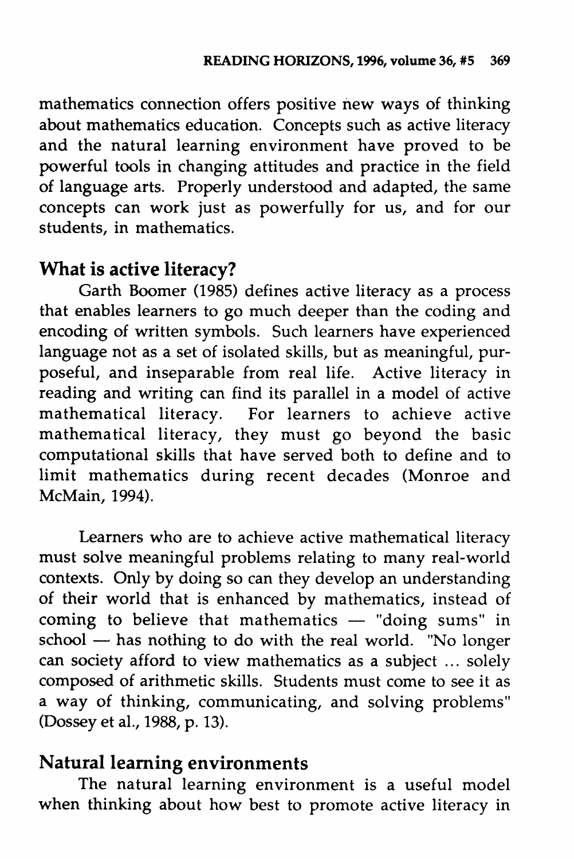mathematics connection offers positive new ways of thinking about mathematics education. Concepts such as active literacy and the natural learning environment have proved to be powerful tools in changing attitudes and practice in the field of language arts. Properly understood and adapted, the same concepts can work just as powerfully for us, and for our students, in mathematics.

### *What is active literacy?*

Garth Boomer (1985) defines active literacy as a process that enables learners to go much deeper than the coding and encoding of written symbols. Such learners have experienced language not as a set of isolated skills, but as meaningful, pur poseful, and inseparable from real life. Active literacy in reading and writing can find its parallel in a model of active mathematical literacy. For learners to achieve active mathematical literacy, they must go beyond the basic computational skills that have served both to define and to limit mathematics during recent decades (Monroe and McMain, 1994).

Learners who are to achieve active mathematical literacy must solve meaningful problems relating to many real-world contexts. Only by doing so can they develop an understanding of their world that is enhanced by mathematics, instead of coming to believe that mathematics — "doing sums" in school — has nothing to do with the real world. "No longer can society afford to view mathematics as a subject ... solely composed of arithmetic skills. Students must come to see it as a way of thinking, communicating, and solving problems" (Dossey et al., 1988, p. 13).

#### *Natural learning environments*

The natural learning environment is a useful model when thinking about how best to promote active literacy in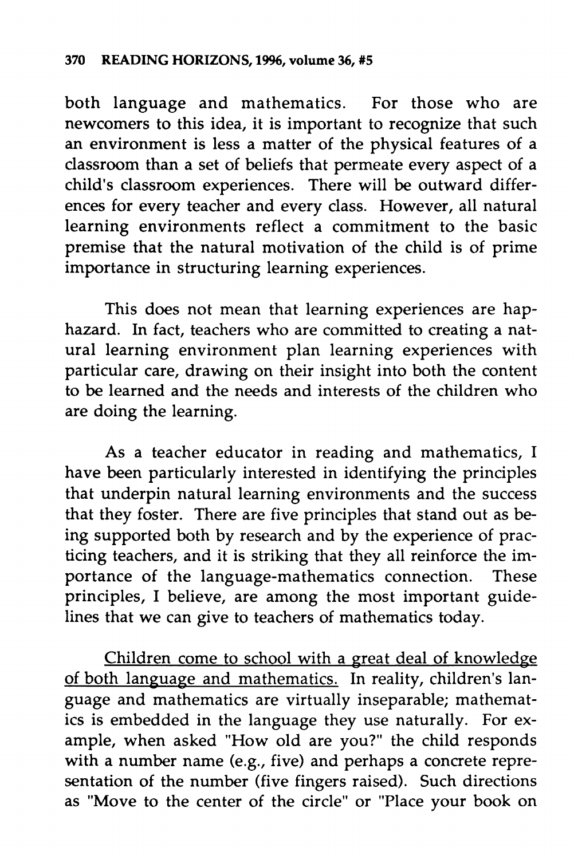both language and mathematics. For those who are newcomers to this idea, it is important to recognize that such an environment is less a matter of the physical features of a classroom than a set of beliefs that permeate every aspect of a child's classroom experiences. There will be outward differ ences for every teacher and every class. However, all natural learning environments reflect a commitment to the basic premise that the natural motivation of the child is of prime importance in structuring learning experiences.

This does not mean that learning experiences are hap hazard. In fact, teachers who are committed to creating a nat ural learning environment plan learning experiences with particular care, drawing on their insight into both the content to be learned and the needs and interests of the children who are doing the learning.

As a teacher educator in reading and mathematics, I have been particularly interested in identifying the principles that underpin natural learning environments and the success that they foster. There are five principles that stand out as be ing supported both by research and by the experience of prac ticing teachers, and it is striking that they all reinforce the im portance of the language-mathematics connection. These principles, I believe, are among the most important guide lines that we can give to teachers of mathematics today.

Children come to school with a great deal of knowledge of both language and mathematics. In reality, children's language and mathematics are virtually inseparable; mathematics is embedded in the language they use naturally. For ex ample, when asked "How old are you?" the child responds with a number name (e.g., five) and perhaps a concrete repre sentation of the number (five fingers raised). Such directions as "Move to the center of the circle" or "Place your book on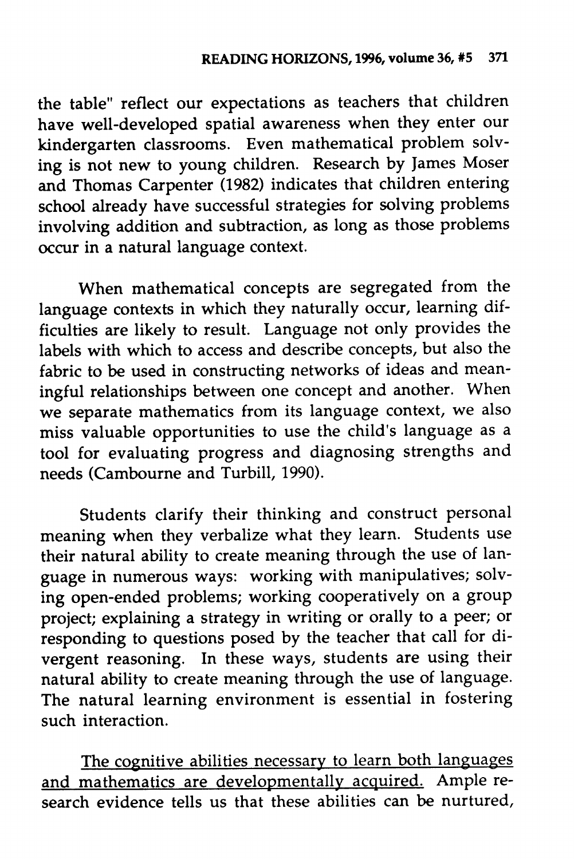the table" reflect our expectations as teachers that children have well-developed spatial awareness when they enter our kindergarten classrooms. Even mathematical problem solv ing is not new to young children. Research by James Moser and Thomas Carpenter (1982) indicates that children entering school already have successful strategies for solving problems involving addition and subtraction, as long as those problems occur in a natural language context.

When mathematical concepts are segregated from the language contexts in which they naturally occur, learning dif ficulties are likely to result. Language not only provides the labels with which to access and describe concepts, but also the fabric to be used in constructing networks of ideas and mean ingful relationships between one concept and another. When we separate mathematics from its language context, we also miss valuable opportunities to use the child's language as a tool for evaluating progress and diagnosing strengths and needs (Cambourne and Turbill, 1990).

Students clarify their thinking and construct personal meaning when they verbalize what they learn. Students use their natural ability to create meaning through the use of lan guage in numerous ways: working with manipulatives; solv ing open-ended problems; working cooperatively on a group project; explaining a strategy in writing or orally to a peer; or responding to questions posed by the teacher that call for divergent reasoning. In these ways, students are using their natural ability to create meaning through the use of language. The natural learning environment is essential in fostering such interaction.

The cognitive abilities necessary to learn both languages and mathematics are developmentally acquired. Ample re search evidence tells us that these abilities can be nurtured,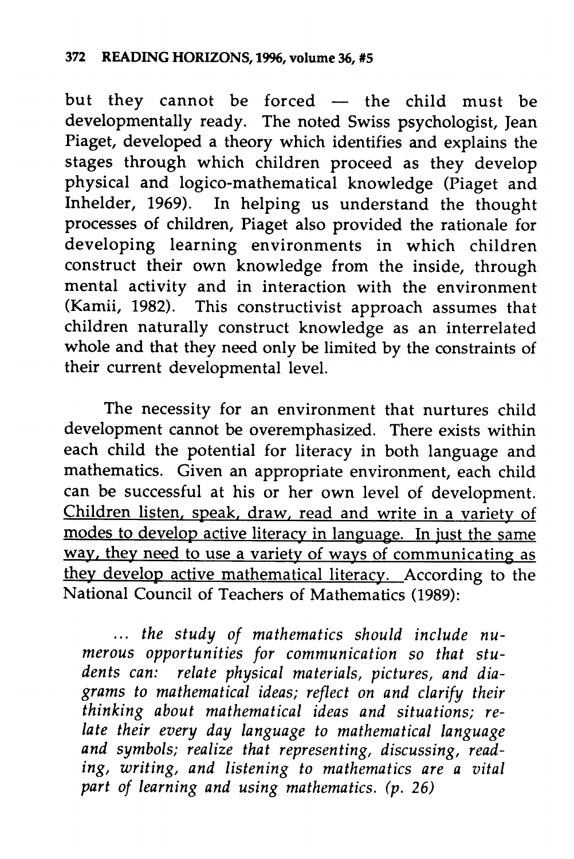but they cannot be forced — the child must be developmentally ready. The noted Swiss psychologist, Jean Piaget, developed a theory which identifies and explains the stages through which children proceed as they develop physical and logico-mathematical knowledge (Piaget and Inhelder, 1969). In helping us understand the thought processes of children, Piaget also provided the rationale for developing learning environments in which children construct their own knowledge from the inside, through mental activity and in interaction with the environment (Kamii, 1982). This constructivist approach assumes that children naturally construct knowledge as an interrelated whole and that they need only be limited by the constraints of their current developmental level.

The necessity for an environment that nurtures child development cannot be overemphasized. There exists within each child the potential for literacy in both language and mathematics. Given an appropriate environment, each child can be successful at his or her own level of development. Children listen, speak, draw, read and write in a variety of modes to develop active literacy in language. In just the same way, they need to use a variety of ways of communicating as they develop active mathematical literacy. According to the National Council of Teachers of Mathematics (1989):

... **the study of mathematics should include nu merous opportunities for communication so that stu dents can: relate physical materials, pictures, and dia grams to mathematical ideas; reflect on and clarify their thinking about mathematical ideas and situations; re late their every day language to mathematical language and symbols; realize that representing, discussing, read ing, writing, and listening to mathematics are a vital part of learning and using mathematics, (p. 26)**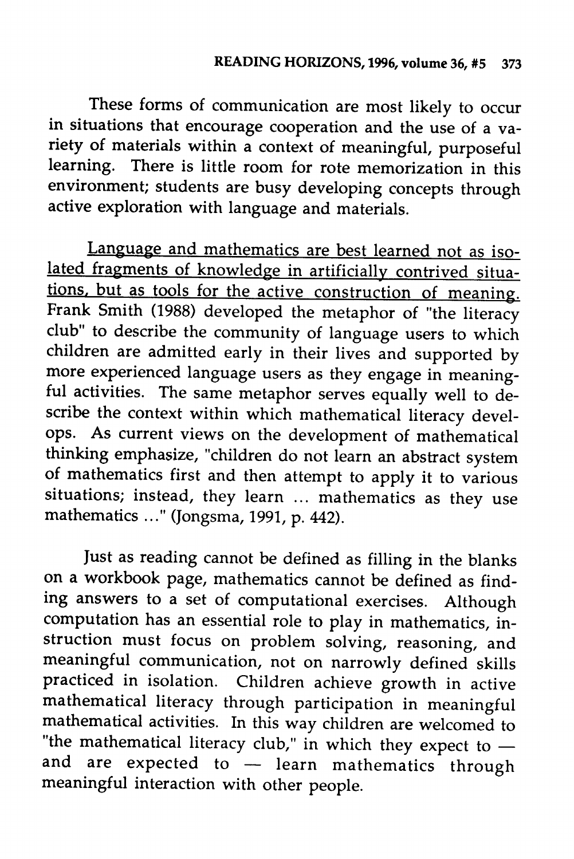These forms of communication are most likely to occur in situations that encourage cooperation and the use of a va riety of materials within a context of meaningful, purposeful<br>learning. There is little room for rote memorization in this There is little room for rote memorization in this environment; students are busy developing concepts through active exploration with language and materials.

Language and mathematics are best learned not as iso lated fragments of knowledge in artificially contrived situations, but as tools for the active construction of meaning. Frank Smith (1988) developed the metaphor of "the literacy" club" to describe the community of language users to which children are admitted early in their lives and supported by more experienced language users as they engage in meaning ful activities. The same metaphor serves equally well to de scribe the context within which mathematical literacy devel ops. As current views on the development of mathematical thinking emphasize, "children do not learn an abstract system of mathematics first and then attempt to apply it to various situations; instead, they learn ... mathematics as they use mathematics ..." (Jongsma, 1991, p. 442).

Just as reading cannot be defined as filling in the blanks on a workbook page, mathematics cannot be defined as find ing answers to a set of computational exercises. Although computation has an essential role to play in mathematics, in struction must focus on problem solving, reasoning, and meaningful communication, not on narrowly defined skills practiced in isolation. Children achieve growth in active mathematical literacy through participation in meaningful mathematical activities. In this way children are welcomed to "the mathematical literacy club," in which they expect to and are expected to  $-$  learn mathematics through meaningful interaction with other people.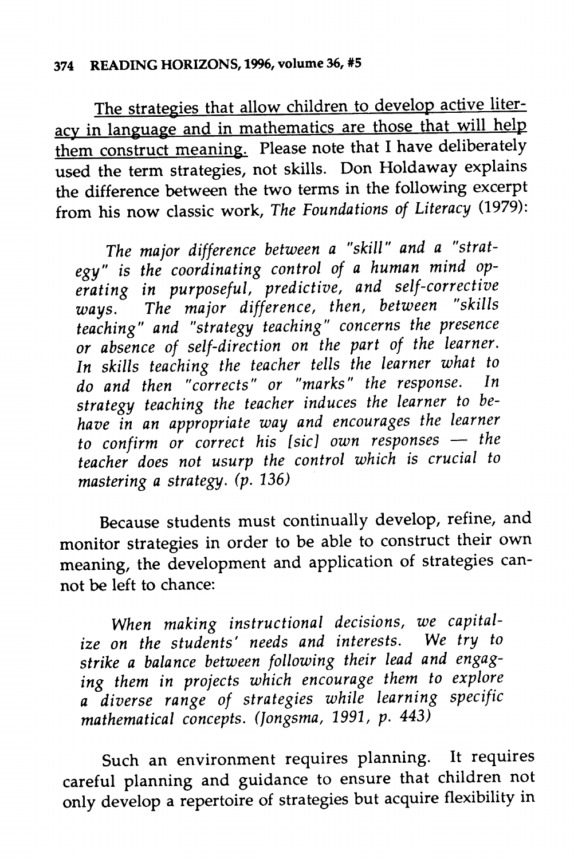#### *374 READING HORIZONS, 1996, volume 36, #5*

The strategies that allow children to develop active literacy in language and in mathematics are those that will help them construct meaning. Please note that I have deliberately used the term strategies, not skills. Don Holdaway explains the difference between the two terms in the following excerpt from his now classic work, **The Foundations of Literacy** (1979):

*The major difference between a "skill" and a "strat egy" is the coordinating control of <sup>a</sup> human mind op erating in purposeful, predictive, and self-corrective ways. The major difference, then, between "skills teaching" and "strategy teaching" concerns the presence or absence of self-direction on the part of the learner. In skills teaching the teacher tells the learner what to do and then "corrects" or "marks" the response. In strategy teaching the teacher induces the learner to be have in an appropriate way and encourages the learner to confirm or correct his [sic] own responses — the teacher does not usurp the control which is crucial to mastering a strategy, (p. 136)*

Because students must continually develop, refine, and monitor strategies in order to be able to construct their own meaning, the development and application of strategies can not be left to chance:

*When making instructional decisions, we capital ize on the students' needs and interests. We try to strike a balance between following their lead and engag ing them in projects which encourage them to explore a diverse range of strategies while learning specific mathematical concepts. (Jongsma, 1991, p. 443)*

Such an environment requires planning. It requires careful planning and guidance to ensure that children not only develop a repertoire of strategies but acquire flexibility in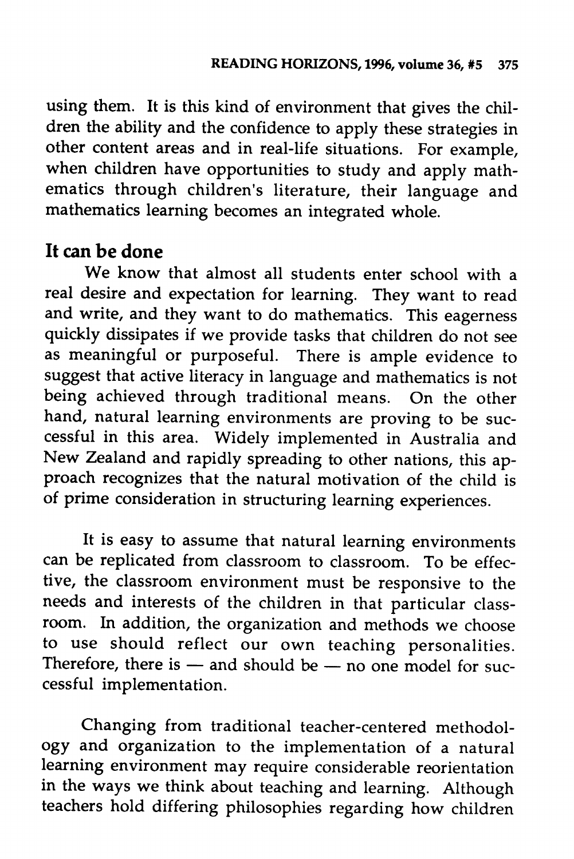using them. It is this kind of environment that gives the chil dren the ability and the confidence to apply these strategies in other content areas and in real-life situations. For example, when children have opportunities to study and apply mathematics through children's literature, their language and mathematics learning becomes an integrated whole.

### *It can be done*

We know that almost all students enter school with a real desire and expectation for learning. They want to read and write, and they want to do mathematics. This eagerness quickly dissipates if we provide tasks that children do not see as meaningful or purposeful. There is ample evidence to suggest that active literacy in language and mathematics is not being achieved through traditional means. On the other hand, natural learning environments are proving to be suc cessful in this area. Widely implemented in Australia and New Zealand and rapidly spreading to other nations, this ap proach recognizes that the natural motivation of the child is of prime consideration in structuring learning experiences.

It is easy to assume that natural learning environments can be replicated from classroom to classroom. To be effec tive, the classroom environment must be responsive to the needs and interests of the children in that particular class room. In addition, the organization and methods we choose to use should reflect our own teaching personalities. Therefore, there is  $-$  and should be  $-$  no one model for successful implementation.

Changing from traditional teacher-centered methodol ogy and organization to the implementation of a natural learning environment may require considerable reorientation in the ways we think about teaching and learning. Although teachers hold differing philosophies regarding how children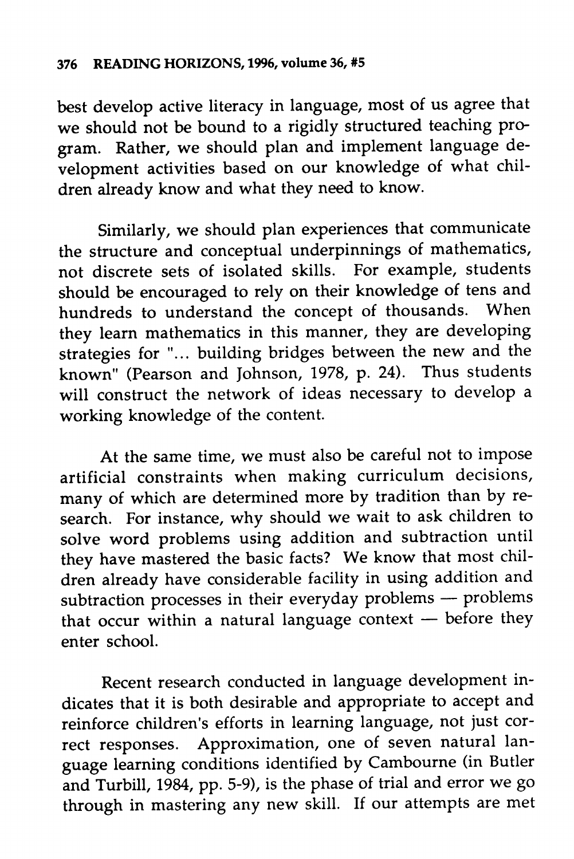best develop active literacy in language, most of us agree that we should not be bound to a rigidly structured teaching pro gram. Rather, we should plan and implement language de velopment activities based on our knowledge of what chil dren already know and what they need to know.

Similarly, we should plan experiences that communicate the structure and conceptual underpinnings of mathematics, not discrete sets of isolated skills. For example, students should be encouraged to rely on their knowledge of tens and hundreds to understand the concept of thousands. When they learn mathematics in this manner, they are developing strategies for "... building bridges between the new and the known" (Pearson and Johnson, 1978, p. 24). Thus students will construct the network of ideas necessary to develop a working knowledge of the content.

At the same time, we must also be careful not to impose artificial constraints when making curriculum decisions, many of which are determined more by tradition than by re search. For instance, why should we wait to ask children to solve word problems using addition and subtraction until they have mastered the basic facts? We know that most chil dren already have considerable facility in using addition and subtraction processes in their everyday problems — problems that occur within a natural language context — before they enter school.

Recent research conducted in language development in dicates that it is both desirable and appropriate to accept and reinforce children's efforts in learning language, not just cor rect responses. Approximation, one of seven natural lan guage learning conditions identified by Cambourne (in Butler and Turbill, 1984, pp. 5-9), is the phase of trial and error we go through in mastering any new skill. If our attempts are met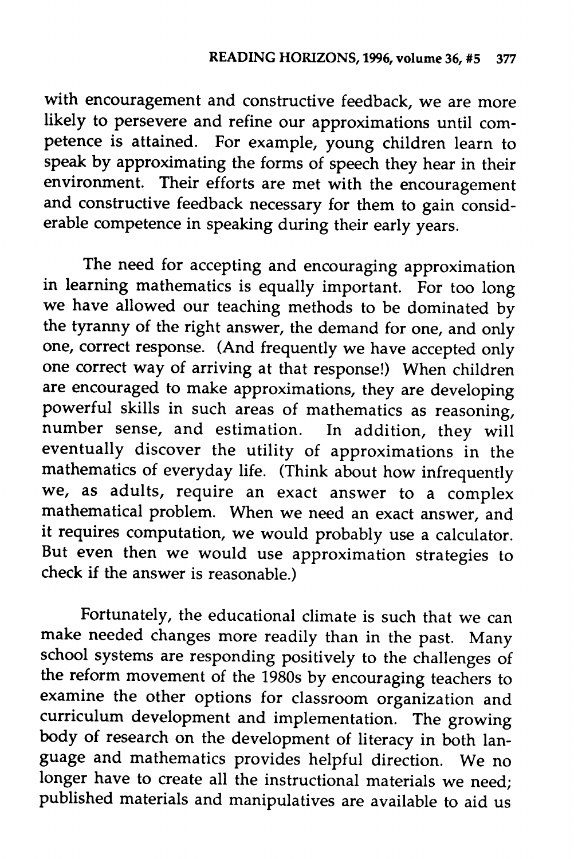with encouragement and constructive feedback, we are more likely to persevere and refine our approximations until com petence is attained. For example, young children learn to speak by approximating the forms of speech they hear in their environment. Their efforts are met with the encouragement and constructive feedback necessary for them to gain consid erable competence in speaking during their early years.

The need for accepting and encouraging approximation in learning mathematics is equally important. For too long we have allowed our teaching methods to be dominated by the tyranny of the right answer, the demand for one, and only one, correct response. (And frequently we have accepted only one correct way of arriving at that response!) When children are encouraged to make approximations, they are developing powerful skills in such areas of mathematics as reasoning, number sense, and estimation. In addition, they will eventually discover the utility of approximations in the mathematics of everyday life. (Think about how infrequently we, as adults, require an exact answer to a complex mathematical problem. When we need an exact answer, and it requires computation, we would probably use a calculator. But even then we would use approximation strategies to check if the answer is reasonable.)

Fortunately, the educational climate is such that we can make needed changes more readily than in the past. Many school systems are responding positively to the challenges of the reform movement of the 1980s by encouraging teachers to examine the other options for classroom organization and curriculum development and implementation. The growing body of research on the development of literacy in both language and mathematics provides helpful direction. We no longer have to create all the instructional materials we need; published materials and manipulatives are available to aid us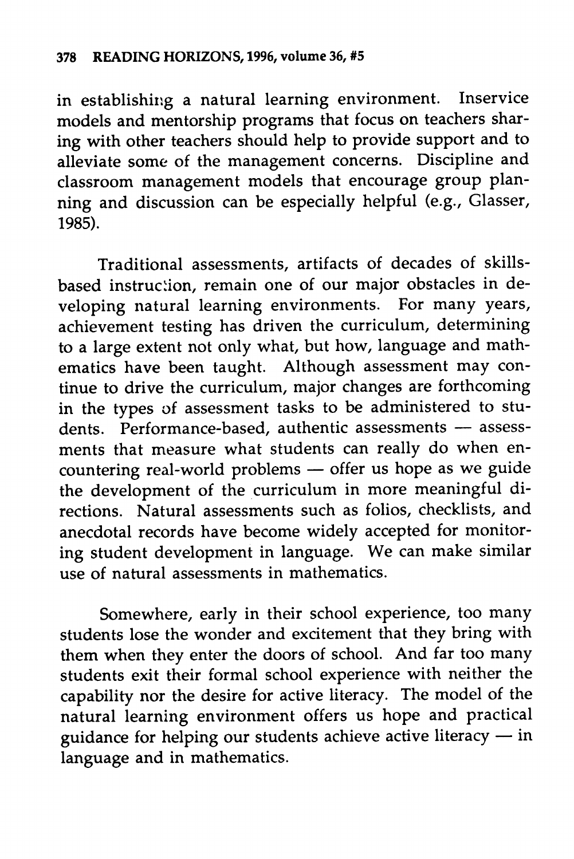in establishing a natural learning environment. Inservice models and mentorship programs that focus on teachers shar ing with other teachers should help to provide support and to alleviate some of the management concerns. Discipline and classroom management models that encourage group plan ning and discussion can be especially helpful (e.g., Glasser, 1985).

Traditional assessments, artifacts of decades of skillsbased instruction, remain one of our major obstacles in developing natural learning environments. For many years, achievement testing has driven the curriculum, determining to a large extent not only what, but how, language and math ematics have been taught. Although assessment may con tinue to drive the curriculum, major changes are forthcoming in the types of assessment tasks to be administered to stu dents. Performance-based, authentic assessments — assess ments that measure what students can really do when en countering real-world problems — offer us hope as we guide the development of the curriculum in more meaningful di rections. Natural assessments such as folios, checklists, and anecdotal records have become widely accepted for monitor ing student development in language. We can make similar use of natural assessments in mathematics.

Somewhere, early in their school experience, too many students lose the wonder and excitement that they bring with them when they enter the doors of school. And far too many students exit their formal school experience with neither the capability nor the desire for active literacy. The model of the natural learning environment offers us hope and practical guidance for helping our students achieve active literacy — in language and in mathematics.